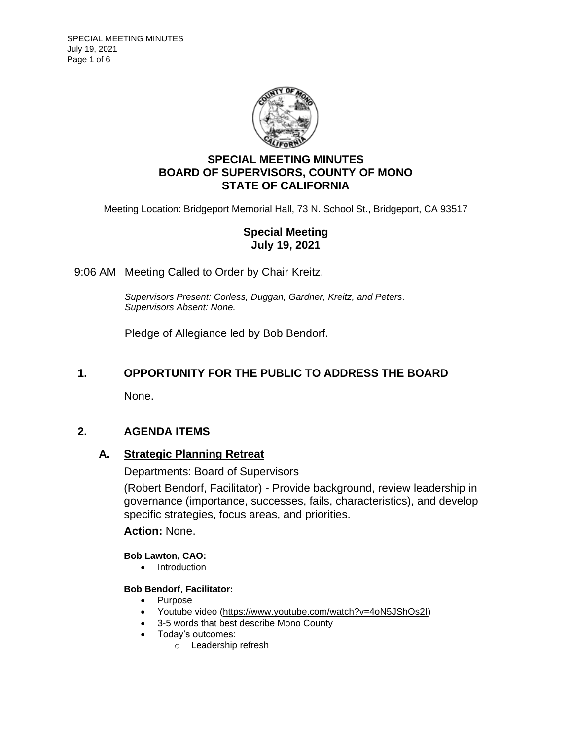

# **SPECIAL MEETING MINUTES BOARD OF SUPERVISORS, COUNTY OF MONO STATE OF CALIFORNIA**

Meeting Location: Bridgeport Memorial Hall, 73 N. School St., Bridgeport, CA 93517

# **Special Meeting July 19, 2021**

## 9:06 AM Meeting Called to Order by Chair Kreitz.

*Supervisors Present: Corless, Duggan, Gardner, Kreitz, and Peters. Supervisors Absent: None.*

Pledge of Allegiance led by Bob Bendorf.

# **1. OPPORTUNITY FOR THE PUBLIC TO ADDRESS THE BOARD**

None.

# **2. AGENDA ITEMS**

## **A. [Strategic Planning Retreat](https://agenda.mono.ca.gov/AgendaWeb/CoverSheet.aspx?ItemID=13514&MeetingID=822)**

Departments: Board of Supervisors

(Robert Bendorf, Facilitator) - Provide background, review leadership in governance (importance, successes, fails, characteristics), and develop specific strategies, focus areas, and priorities.

## **Action:** None.

### **Bob Lawton, CAO:**

• Introduction

### **Bob Bendorf, Facilitator:**

- Purpose
- Youtube video [\(https://www.youtube.com/watch?v=4oN5JShOs2I\)](https://www.youtube.com/watch?v=4oN5JShOs2I)
- 3-5 words that best describe Mono County
- Today's outcomes:
	- o Leadership refresh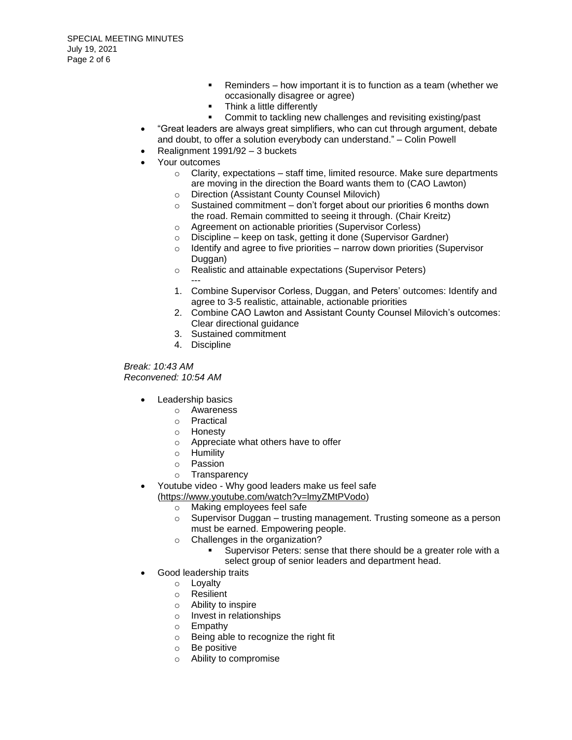- Reminders how important it is to function as a team (whether we occasionally disagree or agree)
- Think a little differently
- Commit to tackling new challenges and revisiting existing/past
- "Great leaders are always great simplifiers, who can cut through argument, debate and doubt, to offer a solution everybody can understand." – Colin Powell
- Realignment 1991/92 3 buckets
- Your outcomes
	- $\circ$  Clarity, expectations staff time, limited resource. Make sure departments are moving in the direction the Board wants them to (CAO Lawton)
	- o Direction (Assistant County Counsel Milovich)
	- $\circ$  Sustained commitment don't forget about our priorities 6 months down the road. Remain committed to seeing it through. (Chair Kreitz)
	- o Agreement on actionable priorities (Supervisor Corless)
	- o Discipline keep on task, getting it done (Supervisor Gardner)
	- $\circ$  Identify and agree to five priorities narrow down priorities (Supervisor Duggan)
	- o Realistic and attainable expectations (Supervisor Peters) ---
	- 1. Combine Supervisor Corless, Duggan, and Peters' outcomes: Identify and agree to 3-5 realistic, attainable, actionable priorities
	- 2. Combine CAO Lawton and Assistant County Counsel Milovich's outcomes: Clear directional guidance
	- 3. Sustained commitment
	- 4. Discipline

*Break: 10:43 AM Reconvened: 10:54 AM*

- Leadership basics
	- o Awareness
	- o Practical
	- o Honesty
	- o Appreciate what others have to offer
	- o Humility
	- o Passion
	- o Transparency
- Youtube video Why good leaders make us feel safe

[\(https://www.youtube.com/watch?v=lmyZMtPVodo\)](https://www.youtube.com/watch?v=lmyZMtPVodo)

- o Making employees feel safe
- $\circ$  Supervisor Duggan trusting management. Trusting someone as a person must be earned. Empowering people.
- o Challenges in the organization?
	- Supervisor Peters: sense that there should be a greater role with a select group of senior leaders and department head.
- Good leadership traits
	- o Loyalty
	- o Resilient
	- o Ability to inspire
	- o Invest in relationships
	- o Empathy
	- o Being able to recognize the right fit
	- o Be positive
	- o Ability to compromise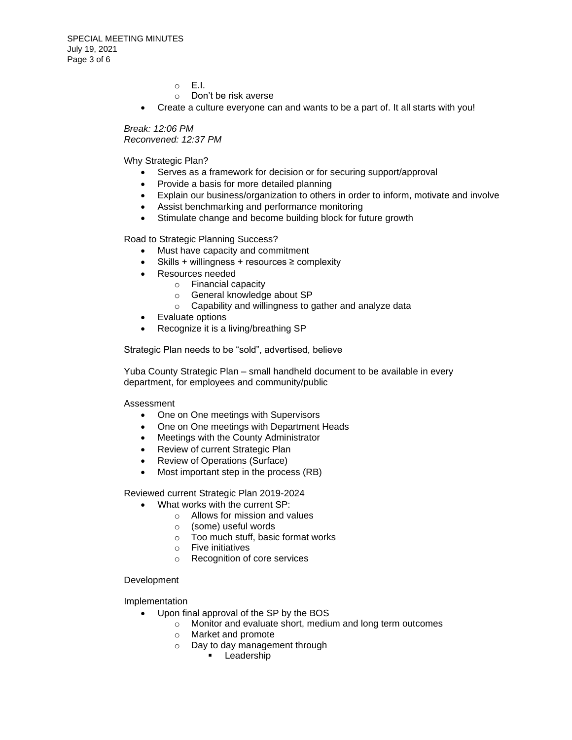o E.I.

- o Don't be risk averse
- Create a culture everyone can and wants to be a part of. It all starts with you!

*Break: 12:06 PM Reconvened: 12:37 PM*

Why Strategic Plan?

- Serves as a framework for decision or for securing support/approval
- Provide a basis for more detailed planning
- Explain our business/organization to others in order to inform, motivate and involve
- Assist benchmarking and performance monitoring
- Stimulate change and become building block for future growth

Road to Strategic Planning Success?

- Must have capacity and commitment
- Skills + willingness + resources ≥ complexity
- Resources needed
	- o Financial capacity
	- o General knowledge about SP
	- o Capability and willingness to gather and analyze data
- Evaluate options
- Recognize it is a living/breathing SP

Strategic Plan needs to be "sold", advertised, believe

Yuba County Strategic Plan – small handheld document to be available in every department, for employees and community/public

Assessment

- One on One meetings with Supervisors
- One on One meetings with Department Heads
- Meetings with the County Administrator
- Review of current Strategic Plan
- Review of Operations (Surface)
- Most important step in the process (RB)

Reviewed current Strategic Plan 2019-2024

- What works with the current SP:
	- $\circ$  Allows for mission and values
	- o (some) useful words
	- o Too much stuff, basic format works
	- o Five initiatives
	- o Recognition of core services

Development

Implementation

- Upon final approval of the SP by the BOS
	- o Monitor and evaluate short, medium and long term outcomes
	- o Market and promote
	- o Day to day management through
		- **•** Leadership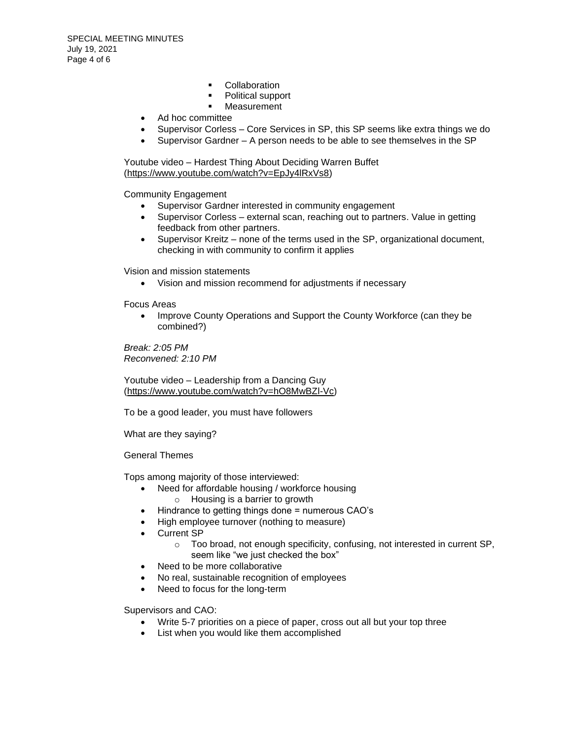- Collaboration
- Political support
- Measurement
- Ad hoc committee
- Supervisor Corless Core Services in SP, this SP seems like extra things we do
- Supervisor Gardner A person needs to be able to see themselves in the SP

Youtube video – Hardest Thing About Deciding Warren Buffet [\(https://www.youtube.com/watch?v=EpJy4lRxVs8\)](https://www.youtube.com/watch?v=EpJy4lRxVs8)

Community Engagement

- Supervisor Gardner interested in community engagement
- Supervisor Corless external scan, reaching out to partners. Value in getting feedback from other partners.
- Supervisor Kreitz none of the terms used in the SP, organizational document, checking in with community to confirm it applies

Vision and mission statements

• Vision and mission recommend for adjustments if necessary

Focus Areas

• Improve County Operations and Support the County Workforce (can they be combined?)

*Break: 2:05 PM Reconvened: 2:10 PM*

Youtube video – Leadership from a Dancing Guy [\(https://www.youtube.com/watch?v=hO8MwBZl-Vc\)](https://www.youtube.com/watch?v=hO8MwBZl-Vc)

To be a good leader, you must have followers

What are they saying?

General Themes

Tops among majority of those interviewed:

- Need for affordable housing / workforce housing
	- o Housing is a barrier to growth
- Hindrance to getting things done = numerous CAO's
- High employee turnover (nothing to measure)
- Current SP
	- o Too broad, not enough specificity, confusing, not interested in current SP, seem like "we just checked the box"
- Need to be more collaborative
- No real, sustainable recognition of employees
- Need to focus for the long-term

Supervisors and CAO:

- Write 5-7 priorities on a piece of paper, cross out all but your top three
- List when you would like them accomplished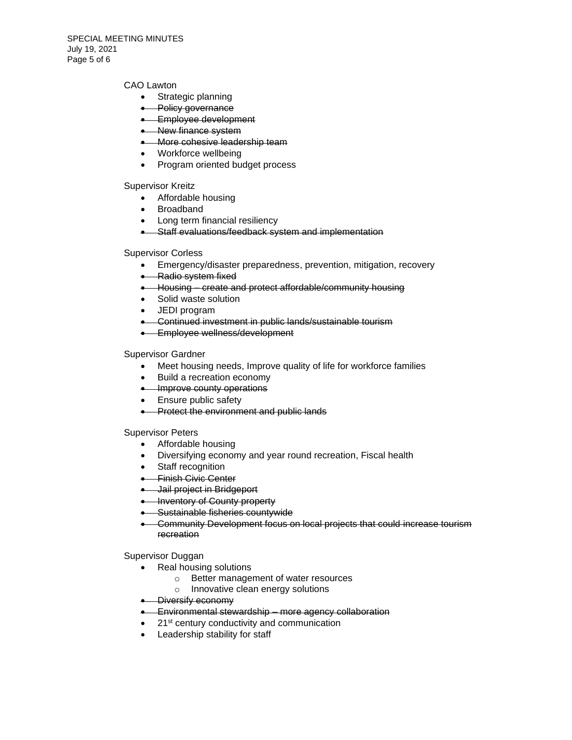#### CAO Lawton

- Strategic planning
- Policy governance
- Employee development
- New finance system
- More cohesive leadership team
- Workforce wellbeing
- Program oriented budget process

Supervisor Kreitz

- Affordable housing
- Broadband
- Long term financial resiliency
- Staff evaluations/feedback system and implementation

#### Supervisor Corless

- Emergency/disaster preparedness, prevention, mitigation, recovery
- Radio system fixed
- Housing create and protect affordable/community housing
- Solid waste solution
- JEDI program
- Continued investment in public lands/sustainable tourism
- **•** Employee wellness/development

#### Supervisor Gardner

- Meet housing needs, Improve quality of life for workforce families
- Build a recreation economy
- Improve county operations
- Ensure public safety
- Protect the environment and public lands

Supervisor Peters

- Affordable housing
- Diversifying economy and year round recreation, Fiscal health
- Staff recognition
- Finish Civic Center
- Jail project in Bridgeport
- **Inventory of County property**
- Sustainable fisheries countywide
- Community Development focus on local projects that could increase tourism recreation

Supervisor Duggan

- Real housing solutions
	- o Better management of water resources
	- o Innovative clean energy solutions
- Diversify economy
- Environmental stewardship more agency collaboration
- 21<sup>st</sup> century conductivity and communication
- Leadership stability for staff